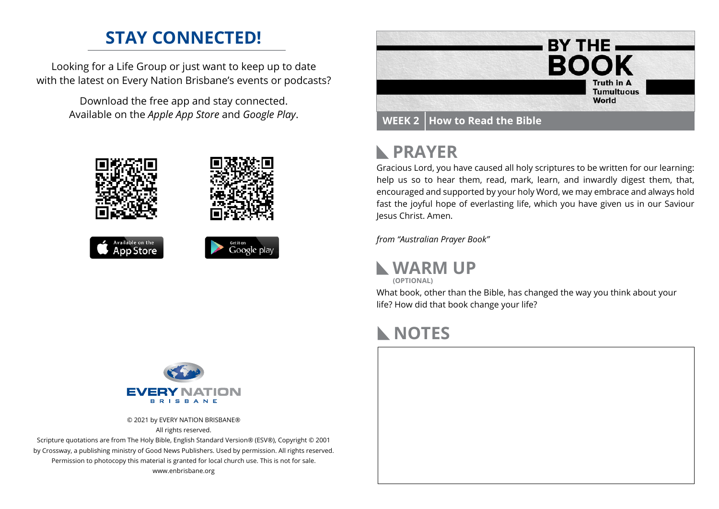### **STAY CONNECTED!**

Looking for a Life Group or just want to keep up to date with the latest on Every Nation Brisbane's events or podcasts?

> Download the free app and stay connected. Available on the *Apple App Store* and *Google Play*.





## **PRAYER**

Gracious Lord, you have caused all holy scriptures to be written for our learning: help us so to hear them, read, mark, learn, and inwardly digest them, that, encouraged and supported by your holy Word, we may embrace and always hold fast the joyful hope of everlasting life, which you have given us in our Saviour Jesus Christ. Amen.

*from "Australian Prayer Book"*

**WARM UP (OPTIONAL)**

What book, other than the Bible, has changed the way you think about your life? How did that book change your life?

### **NOTES**





© 2021 by EVERY NATION BRISBANE® All rights reserved.

Scripture quotations are from The Holy Bible, English Standard Version® (ESV®), Copyright © 2001 by Crossway, a publishing ministry of Good News Publishers. Used by permission. All rights reserved. Permission to photocopy this material is granted for local church use. This is not for sale. www.enbrisbane.org